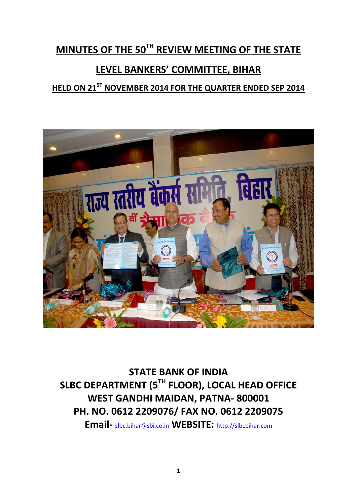# **MINUTES OF THE 50TH REVIEW MEETING OF THE STATE**

# **LEVEL BANKERS' COMMITTEE, BIHAR**

# **HELD ON 21ST NOVEMBER 2014 FOR THE QUARTER ENDED SEP 2014**



**STATE BANK OF INDIA SLBC DEPARTMENT (5TH FLOOR), LOCAL HEAD OFFICE WEST GANDHI MAIDAN, PATNA- 800001 PH. NO. 0612 2209076/ FAX NO. 0612 2209075**

**Email-** [slbc.bihar@sbi.co.in](mailto:slbc.bihar@sbi.co.in) **WEBSITE:** [http://slbcbihar.com](http://slbcbihar.com/)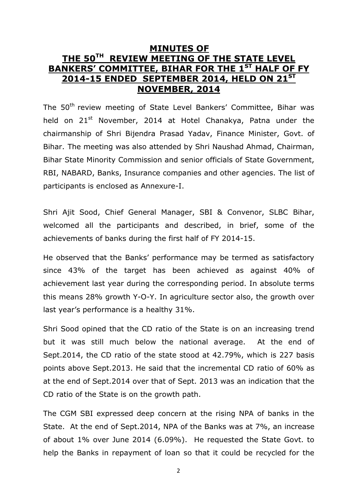# **MINUTES OF THE 50TH REVIEW MEETING OF THE STATE LEVEL BANKERS' COMMITTEE, BIHAR FOR THE 1ST HALF OF FY 2014-15 ENDED SEPTEMBER 2014, HELD ON 21 ST NOVEMBER, 2014**

The 50<sup>th</sup> review meeting of State Level Bankers' Committee, Bihar was held on 21<sup>st</sup> November, 2014 at Hotel Chanakya, Patna under the chairmanship of Shri Bijendra Prasad Yadav, Finance Minister, Govt. of Bihar. The meeting was also attended by Shri Naushad Ahmad, Chairman, Bihar State Minority Commission and senior officials of State Government, RBI, NABARD, Banks, Insurance companies and other agencies. The list of participants is enclosed as Annexure-I.

Shri Ajit Sood, Chief General Manager, SBI & Convenor, SLBC Bihar, welcomed all the participants and described, in brief, some of the achievements of banks during the first half of FY 2014-15.

He observed that the Banks' performance may be termed as satisfactory since 43% of the target has been achieved as against 40% of achievement last year during the corresponding period. In absolute terms this means 28% growth Y-O-Y. In agriculture sector also, the growth over last year's performance is a healthy 31%.

Shri Sood opined that the CD ratio of the State is on an increasing trend but it was still much below the national average. At the end of Sept.2014, the CD ratio of the state stood at 42.79%, which is 227 basis points above Sept.2013. He said that the incremental CD ratio of 60% as at the end of Sept.2014 over that of Sept. 2013 was an indication that the CD ratio of the State is on the growth path.

The CGM SBI expressed deep concern at the rising NPA of banks in the State. At the end of Sept.2014, NPA of the Banks was at 7%, an increase of about 1% over June 2014 (6.09%). He requested the State Govt. to help the Banks in repayment of loan so that it could be recycled for the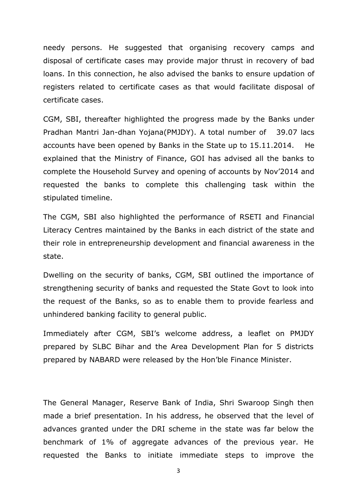needy persons. He suggested that organising recovery camps and disposal of certificate cases may provide major thrust in recovery of bad loans. In this connection, he also advised the banks to ensure updation of registers related to certificate cases as that would facilitate disposal of certificate cases.

CGM, SBI, thereafter highlighted the progress made by the Banks under Pradhan Mantri Jan-dhan Yojana(PMJDY). A total number of 39.07 lacs accounts have been opened by Banks in the State up to 15.11.2014. He explained that the Ministry of Finance, GOI has advised all the banks to complete the Household Survey and opening of accounts by Nov'2014 and requested the banks to complete this challenging task within the stipulated timeline.

The CGM, SBI also highlighted the performance of RSETI and Financial Literacy Centres maintained by the Banks in each district of the state and their role in entrepreneurship development and financial awareness in the state.

Dwelling on the security of banks, CGM, SBI outlined the importance of strengthening security of banks and requested the State Govt to look into the request of the Banks, so as to enable them to provide fearless and unhindered banking facility to general public.

Immediately after CGM, SBI's welcome address, a leaflet on PMJDY prepared by SLBC Bihar and the Area Development Plan for 5 districts prepared by NABARD were released by the Hon'ble Finance Minister.

The General Manager, Reserve Bank of India, Shri Swaroop Singh then made a brief presentation. In his address, he observed that the level of advances granted under the DRI scheme in the state was far below the benchmark of 1% of aggregate advances of the previous year. He requested the Banks to initiate immediate steps to improve the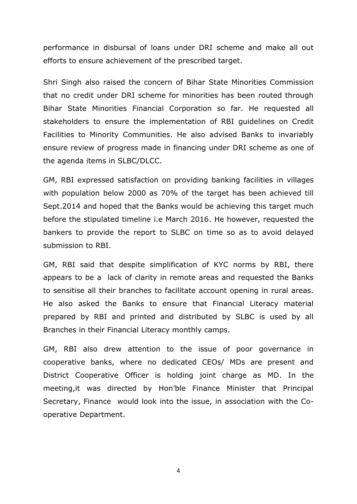performance in disbursal of loans under DRI scheme and make all out efforts to ensure achievement of the prescribed target.

Shri Singh also raised the concern of Bihar State Minorities Commission that no credit under DRI scheme for minorities has been routed through Bihar State Minorities Financial Corporation so far. He requested all stakeholders to ensure the implementation of RBI guidelines on Credit Facilities to Minority Communities. He also advised Banks to invariably ensure review of progress made in financing under DRI scheme as one of the agenda items in SLBC/DLCC.

GM, RBI expressed satisfaction on providing banking facilities in villages with population below 2000 as 70% of the target has been achieved till Sept.2014 and hoped that the Banks would be achieving this target much before the stipulated timeline i.e March 2016. He however, requested the bankers to provide the report to SLBC on time so as to avoid delayed submission to RBI.

GM, RBI said that despite simplification of KYC norms by RBI, there appears to be a lack of clarity in remote areas and requested the Banks to sensitise all their branches to facilitate account opening in rural areas. He also asked the Banks to ensure that Financial Literacy material prepared by RBI and printed and distributed by SLBC is used by all Branches in their Financial Literacy monthly camps.

GM, RBI also drew attention to the issue of poor governance in cooperative banks, where no dedicated CEOs/ MDs are present and District Cooperative Officer is holding joint charge as MD. In the meeting,it was directed by Hon'ble Finance Minister that Principal Secretary, Finance would look into the issue, in association with the Cooperative Department.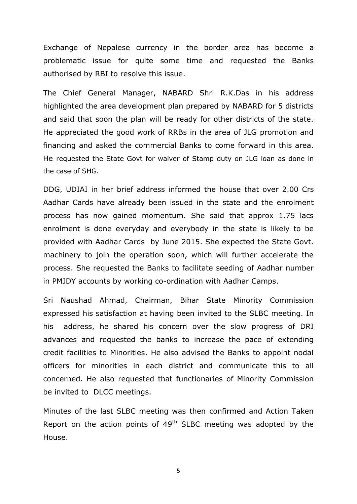Exchange of Nepalese currency in the border area has become a problematic issue for quite some time and requested the Banks authorised by RBI to resolve this issue.

The Chief General Manager, NABARD Shri R.K.Das in his address highlighted the area development plan prepared by NABARD for 5 districts and said that soon the plan will be ready for other districts of the state. He appreciated the good work of RRBs in the area of JLG promotion and financing and asked the commercial Banks to come forward in this area. He requested the State Govt for waiver of Stamp duty on JLG loan as done in the case of SHG.

DDG, UDIAI in her brief address informed the house that over 2.00 Crs Aadhar Cards have already been issued in the state and the enrolment process has now gained momentum. She said that approx 1.75 lacs enrolment is done everyday and everybody in the state is likely to be provided with Aadhar Cards by June 2015. She expected the State Govt. machinery to join the operation soon, which will further accelerate the process. She requested the Banks to facilitate seeding of Aadhar number in PMJDY accounts by working co-ordination with Aadhar Camps.

Sri Naushad Ahmad, Chairman, Bihar State Minority Commission expressed his satisfaction at having been invited to the SLBC meeting. In his address, he shared his concern over the slow progress of DRI advances and requested the banks to increase the pace of extending credit facilities to Minorities. He also advised the Banks to appoint nodal officers for minorities in each district and communicate this to all concerned. He also requested that functionaries of Minority Commission be invited to DLCC meetings.

Minutes of the last SLBC meeting was then confirmed and Action Taken Report on the action points of  $49<sup>th</sup>$  SLBC meeting was adopted by the House.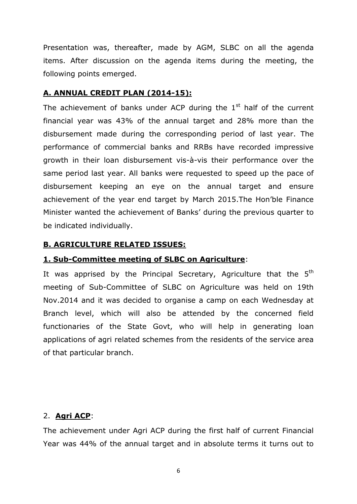Presentation was, thereafter, made by AGM, SLBC on all the agenda items. After discussion on the agenda items during the meeting, the following points emerged.

### **A. ANNUAL CREDIT PLAN (2014-15):**

The achievement of banks under ACP during the  $1<sup>st</sup>$  half of the current financial year was 43% of the annual target and 28% more than the disbursement made during the corresponding period of last year. The performance of commercial banks and RRBs have recorded impressive growth in their loan disbursement vis-à-vis their performance over the same period last year. All banks were requested to speed up the pace of disbursement keeping an eye on the annual target and ensure achievement of the year end target by March 2015.The Hon'ble Finance Minister wanted the achievement of Banks' during the previous quarter to be indicated individually.

#### **B. AGRICULTURE RELATED ISSUES:**

#### **1. Sub-Committee meeting of SLBC on Agriculture**:

It was apprised by the Principal Secretary, Agriculture that the  $5<sup>th</sup>$ meeting of Sub-Committee of SLBC on Agriculture was held on 19th Nov.2014 and it was decided to organise a camp on each Wednesday at Branch level, which will also be attended by the concerned field functionaries of the State Govt, who will help in generating loan applications of agri related schemes from the residents of the service area of that particular branch.

#### 2. **Agri ACP**:

The achievement under Agri ACP during the first half of current Financial Year was 44% of the annual target and in absolute terms it turns out to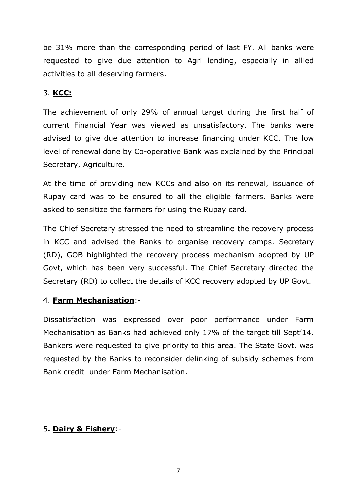be 31% more than the corresponding period of last FY. All banks were requested to give due attention to Agri lending, especially in allied activities to all deserving farmers.

# 3. **KCC:**

The achievement of only 29% of annual target during the first half of current Financial Year was viewed as unsatisfactory. The banks were advised to give due attention to increase financing under KCC. The low level of renewal done by Co-operative Bank was explained by the Principal Secretary, Agriculture.

At the time of providing new KCCs and also on its renewal, issuance of Rupay card was to be ensured to all the eligible farmers. Banks were asked to sensitize the farmers for using the Rupay card.

The Chief Secretary stressed the need to streamline the recovery process in KCC and advised the Banks to organise recovery camps. Secretary (RD), GOB highlighted the recovery process mechanism adopted by UP Govt, which has been very successful. The Chief Secretary directed the Secretary (RD) to collect the details of KCC recovery adopted by UP Govt.

### 4. **Farm Mechanisation**:-

Dissatisfaction was expressed over poor performance under Farm Mechanisation as Banks had achieved only 17% of the target till Sept'14. Bankers were requested to give priority to this area. The State Govt. was requested by the Banks to reconsider delinking of subsidy schemes from Bank credit under Farm Mechanisation.

# 5**. Dairy & Fishery**:-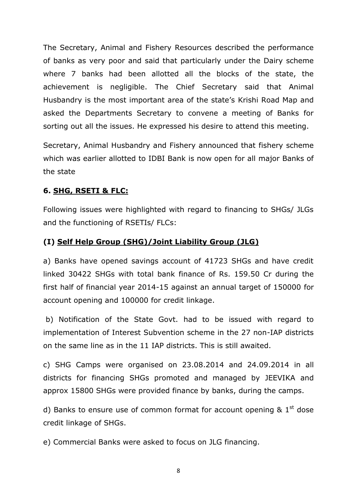The Secretary, Animal and Fishery Resources described the performance of banks as very poor and said that particularly under the Dairy scheme where 7 banks had been allotted all the blocks of the state, the achievement is negligible. The Chief Secretary said that Animal Husbandry is the most important area of the state's Krishi Road Map and asked the Departments Secretary to convene a meeting of Banks for sorting out all the issues. He expressed his desire to attend this meeting.

Secretary, Animal Husbandry and Fishery announced that fishery scheme which was earlier allotted to IDBI Bank is now open for all major Banks of the state

### **6. SHG, RSETI & FLC:**

Following issues were highlighted with regard to financing to SHGs/ JLGs and the functioning of RSETIs/ FLCs:

### **(I) Self Help Group (SHG)/Joint Liability Group (JLG)**

a) Banks have opened savings account of 41723 SHGs and have credit linked 30422 SHGs with total bank finance of Rs. 159.50 Cr during the first half of financial year 2014-15 against an annual target of 150000 for account opening and 100000 for credit linkage.

b) Notification of the State Govt. had to be issued with regard to implementation of Interest Subvention scheme in the 27 non-IAP districts on the same line as in the 11 IAP districts. This is still awaited.

c) SHG Camps were organised on 23.08.2014 and 24.09.2014 in all districts for financing SHGs promoted and managed by JEEVIKA and approx 15800 SHGs were provided finance by banks, during the camps.

d) Banks to ensure use of common format for account opening  $\&$  1<sup>st</sup> dose credit linkage of SHGs.

e) Commercial Banks were asked to focus on JLG financing.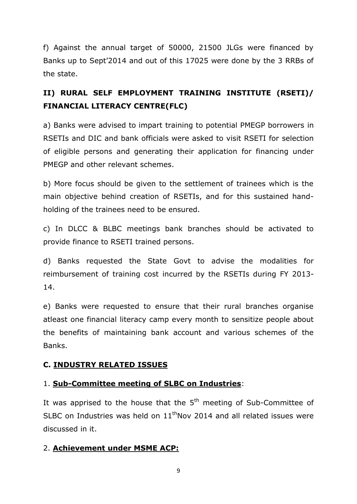f) Against the annual target of 50000, 21500 JLGs were financed by Banks up to Sept'2014 and out of this 17025 were done by the 3 RRBs of the state.

# **II) RURAL SELF EMPLOYMENT TRAINING INSTITUTE (RSETI)/ FINANCIAL LITERACY CENTRE(FLC)**

a) Banks were advised to impart training to potential PMEGP borrowers in RSETIs and DIC and bank officials were asked to visit RSETI for selection of eligible persons and generating their application for financing under PMEGP and other relevant schemes.

b) More focus should be given to the settlement of trainees which is the main objective behind creation of RSETIs, and for this sustained handholding of the trainees need to be ensured.

c) In DLCC & BLBC meetings bank branches should be activated to provide finance to RSETI trained persons.

d) Banks requested the State Govt to advise the modalities for reimbursement of training cost incurred by the RSETIs during FY 2013- 14.

e) Banks were requested to ensure that their rural branches organise atleast one financial literacy camp every month to sensitize people about the benefits of maintaining bank account and various schemes of the Banks.

# **C. INDUSTRY RELATED ISSUES**

### 1. **Sub-Committee meeting of SLBC on Industries**:

It was apprised to the house that the  $5<sup>th</sup>$  meeting of Sub-Committee of SLBC on Industries was held on  $11<sup>th</sup>$ Nov 2014 and all related issues were discussed in it.

### 2. **Achievement under MSME ACP:**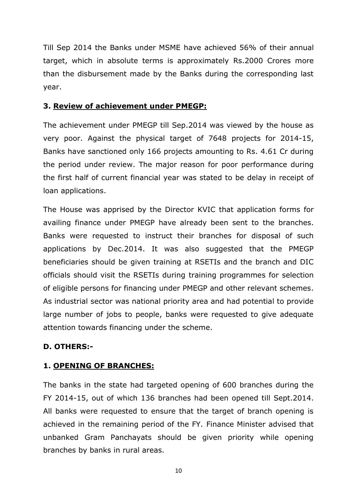Till Sep 2014 the Banks under MSME have achieved 56% of their annual target, which in absolute terms is approximately Rs.2000 Crores more than the disbursement made by the Banks during the corresponding last year.

### **3. Review of achievement under PMEGP:**

The achievement under PMEGP till Sep.2014 was viewed by the house as very poor. Against the physical target of 7648 projects for 2014-15, Banks have sanctioned only 166 projects amounting to Rs. 4.61 Cr during the period under review. The major reason for poor performance during the first half of current financial year was stated to be delay in receipt of loan applications.

The House was apprised by the Director KVIC that application forms for availing finance under PMEGP have already been sent to the branches. Banks were requested to instruct their branches for disposal of such applications by Dec.2014. It was also suggested that the PMEGP beneficiaries should be given training at RSETIs and the branch and DIC officials should visit the RSETIs during training programmes for selection of eligible persons for financing under PMEGP and other relevant schemes. As industrial sector was national priority area and had potential to provide large number of jobs to people, banks were requested to give adequate attention towards financing under the scheme.

### **D. OTHERS:-**

### **1. OPENING OF BRANCHES:**

The banks in the state had targeted opening of 600 branches during the FY 2014-15, out of which 136 branches had been opened till Sept.2014. All banks were requested to ensure that the target of branch opening is achieved in the remaining period of the FY. Finance Minister advised that unbanked Gram Panchayats should be given priority while opening branches by banks in rural areas.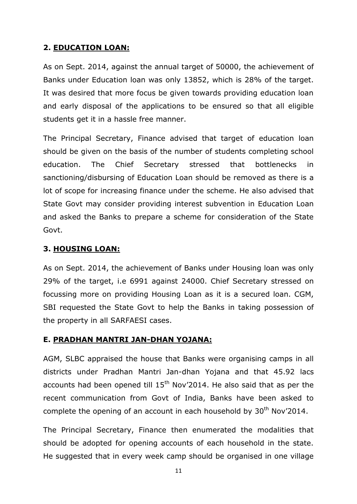### **2. EDUCATION LOAN:**

As on Sept. 2014, against the annual target of 50000, the achievement of Banks under Education loan was only 13852, which is 28% of the target. It was desired that more focus be given towards providing education loan and early disposal of the applications to be ensured so that all eligible students get it in a hassle free manner.

The Principal Secretary, Finance advised that target of education loan should be given on the basis of the number of students completing school education. The Chief Secretary stressed that bottlenecks in sanctioning/disbursing of Education Loan should be removed as there is a lot of scope for increasing finance under the scheme. He also advised that State Govt may consider providing interest subvention in Education Loan and asked the Banks to prepare a scheme for consideration of the State Govt.

### **3. HOUSING LOAN:**

As on Sept. 2014, the achievement of Banks under Housing loan was only 29% of the target, i.e 6991 against 24000. Chief Secretary stressed on focussing more on providing Housing Loan as it is a secured loan. CGM, SBI requested the State Govt to help the Banks in taking possession of the property in all SARFAESI cases.

### **E. PRADHAN MANTRI JAN-DHAN YOJANA:**

AGM, SLBC appraised the house that Banks were organising camps in all districts under Pradhan Mantri Jan-dhan Yojana and that 45.92 lacs accounts had been opened till  $15<sup>th</sup>$  Nov'2014. He also said that as per the recent communication from Govt of India, Banks have been asked to complete the opening of an account in each household by  $30<sup>th</sup>$  Nov'2014.

The Principal Secretary, Finance then enumerated the modalities that should be adopted for opening accounts of each household in the state. He suggested that in every week camp should be organised in one village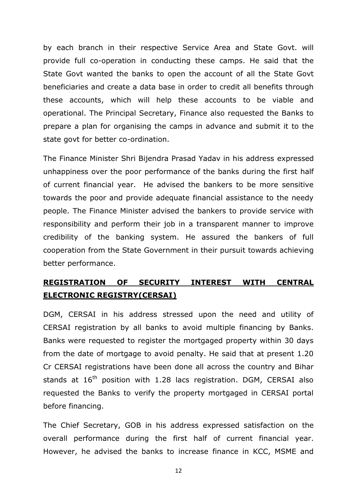by each branch in their respective Service Area and State Govt. will provide full co-operation in conducting these camps. He said that the State Govt wanted the banks to open the account of all the State Govt beneficiaries and create a data base in order to credit all benefits through these accounts, which will help these accounts to be viable and operational. The Principal Secretary, Finance also requested the Banks to prepare a plan for organising the camps in advance and submit it to the state govt for better co-ordination.

The Finance Minister Shri Bijendra Prasad Yadav in his address expressed unhappiness over the poor performance of the banks during the first half of current financial year. He advised the bankers to be more sensitive towards the poor and provide adequate financial assistance to the needy people. The Finance Minister advised the bankers to provide service with responsibility and perform their job in a transparent manner to improve credibility of the banking system. He assured the bankers of full cooperation from the State Government in their pursuit towards achieving better performance.

# **REGISTRATION OF SECURITY INTEREST WITH CENTRAL ELECTRONIC REGISTRY(CERSAI)**

DGM, CERSAI in his address stressed upon the need and utility of CERSAI registration by all banks to avoid multiple financing by Banks. Banks were requested to register the mortgaged property within 30 days from the date of mortgage to avoid penalty. He said that at present 1.20 Cr CERSAI registrations have been done all across the country and Bihar stands at  $16<sup>th</sup>$  position with 1.28 lacs registration. DGM, CERSAI also requested the Banks to verify the property mortgaged in CERSAI portal before financing.

The Chief Secretary, GOB in his address expressed satisfaction on the overall performance during the first half of current financial year. However, he advised the banks to increase finance in KCC, MSME and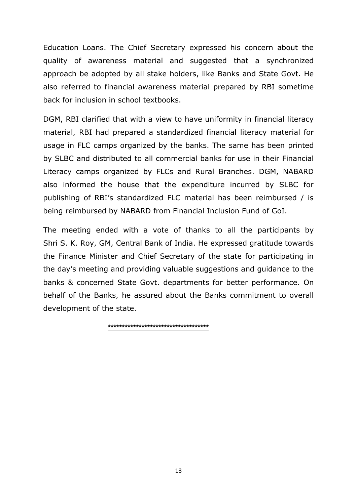Education Loans. The Chief Secretary expressed his concern about the quality of awareness material and suggested that a synchronized approach be adopted by all stake holders, like Banks and State Govt. He also referred to financial awareness material prepared by RBI sometime back for inclusion in school textbooks.

DGM, RBI clarified that with a view to have uniformity in financial literacy material, RBI had prepared a standardized financial literacy material for usage in FLC camps organized by the banks. The same has been printed by SLBC and distributed to all commercial banks for use in their Financial Literacy camps organized by FLCs and Rural Branches. DGM, NABARD also informed the house that the expenditure incurred by SLBC for publishing of RBI's standardized FLC material has been reimbursed / is being reimbursed by NABARD from Financial Inclusion Fund of GoI.

The meeting ended with a vote of thanks to all the participants by Shri S. K. Roy, GM, Central Bank of India. He expressed gratitude towards the Finance Minister and Chief Secretary of the state for participating in the day's meeting and providing valuable suggestions and guidance to the banks & concerned State Govt. departments for better performance. On behalf of the Banks, he assured about the Banks commitment to overall development of the state.

**\*\*\*\*\*\*\*\*\*\*\*\*\*\*\*\*\*\*\*\*\*\*\*\*\*\*\*\*\*\*\*\*\*\*\*\***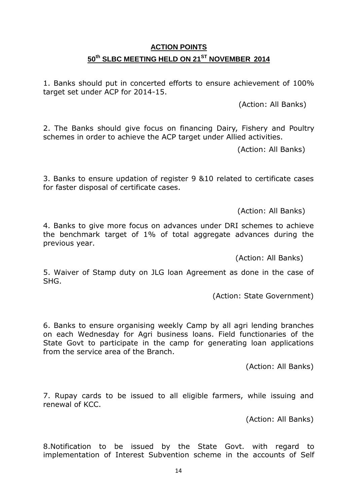# **ACTION POINTS 50th SLBC MEETING HELD ON 21 ST NOVEMBER 2014**

1. Banks should put in concerted efforts to ensure achievement of 100% target set under ACP for 2014-15.

(Action: All Banks)

2. The Banks should give focus on financing Dairy, Fishery and Poultry schemes in order to achieve the ACP target under Allied activities.

(Action: All Banks)

3. Banks to ensure updation of register 9 &10 related to certificate cases for faster disposal of certificate cases.

(Action: All Banks)

4. Banks to give more focus on advances under DRI schemes to achieve the benchmark target of 1% of total aggregate advances during the previous year.

(Action: All Banks)

5. Waiver of Stamp duty on JLG loan Agreement as done in the case of SHG.

(Action: State Government)

6. Banks to ensure organising weekly Camp by all agri lending branches on each Wednesday for Agri business loans. Field functionaries of the State Govt to participate in the camp for generating loan applications from the service area of the Branch.

(Action: All Banks)

7. Rupay cards to be issued to all eligible farmers, while issuing and renewal of KCC.

(Action: All Banks)

8.Notification to be issued by the State Govt. with regard to implementation of Interest Subvention scheme in the accounts of Self